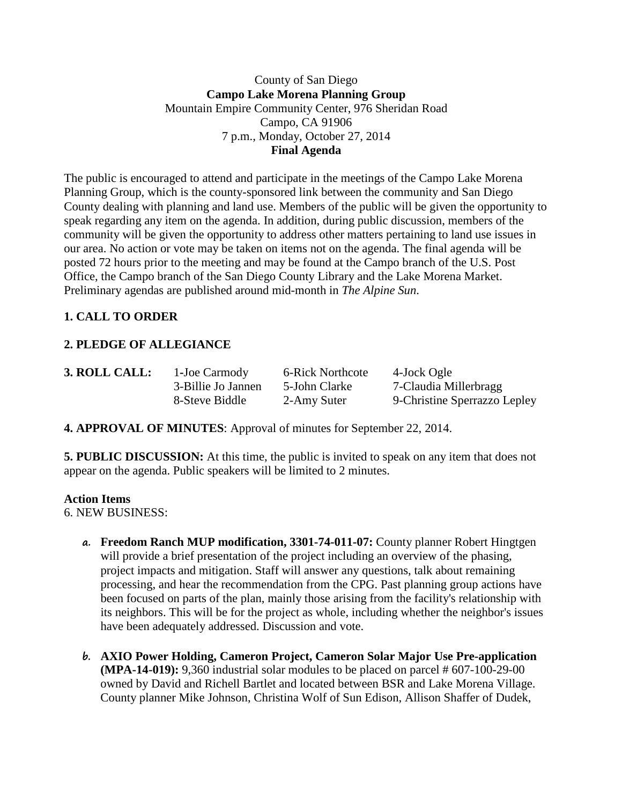### County of San Diego **Campo Lake Morena Planning Group** Mountain Empire Community Center, 976 Sheridan Road Campo, CA 91906 7 p.m., Monday, October 27, 2014 **Final Agenda**

The public is encouraged to attend and participate in the meetings of the Campo Lake Morena Planning Group, which is the county-sponsored link between the community and San Diego County dealing with planning and land use. Members of the public will be given the opportunity to speak regarding any item on the agenda. In addition, during public discussion, members of the community will be given the opportunity to address other matters pertaining to land use issues in our area. No action or vote may be taken on items not on the agenda. The final agenda will be posted 72 hours prior to the meeting and may be found at the Campo branch of the U.S. Post Office, the Campo branch of the San Diego County Library and the Lake Morena Market. Preliminary agendas are published around mid-month in *The Alpine Sun*.

# **1. CALL TO ORDER**

# **2. PLEDGE OF ALLEGIANCE**

| 3. ROLL CALL: | 1-Joe Carmody      | 6-Rick Northcote | 4-Jock Ogle                  |
|---------------|--------------------|------------------|------------------------------|
|               | 3-Billie Jo Jannen | 5-John Clarke    | 7-Claudia Millerbragg        |
|               | 8-Steve Biddle     | 2-Amy Suter      | 9-Christine Sperrazzo Lepley |

**4. APPROVAL OF MINUTES**: Approval of minutes for September 22, 2014.

**5. PUBLIC DISCUSSION:** At this time, the public is invited to speak on any item that does not appear on the agenda. Public speakers will be limited to 2 minutes.

#### **Action Items**

6. NEW BUSINESS:

- **a. Freedom Ranch MUP modification, 3301-74-011-07:** County planner Robert Hingtgen will provide a brief presentation of the project including an overview of the phasing, project impacts and mitigation. Staff will answer any questions, talk about remaining processing, and hear the recommendation from the CPG. Past planning group actions have been focused on parts of the plan, mainly those arising from the facility's relationship with its neighbors. This will be for the project as whole, including whether the neighbor's issues have been adequately addressed. Discussion and vote.
- **b. AXIO Power Holding, Cameron Project, Cameron Solar Major Use Pre-application (MPA-14-019):** 9,360 industrial solar modules to be placed on parcel # 607-100-29-00 owned by David and Richell Bartlet and located between BSR and Lake Morena Village. County planner Mike Johnson, Christina Wolf of Sun Edison, Allison Shaffer of Dudek,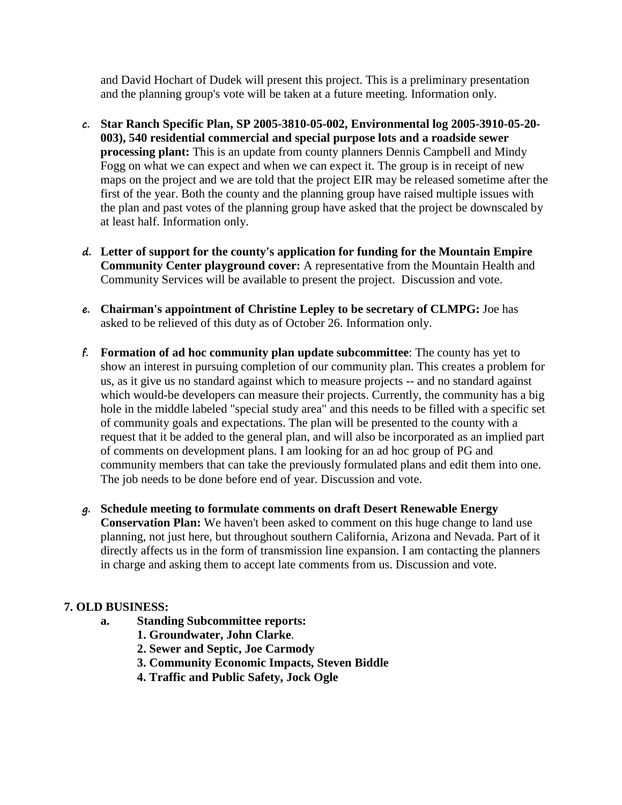and David Hochart of Dudek will present this project. This is a preliminary presentation and the planning group's vote will be taken at a future meeting. Information only.

- **c. Star Ranch Specific Plan, SP 2005-3810-05-002, Environmental log 2005-3910-05-20- 003), 540 residential commercial and special purpose lots and a roadside sewer processing plant:** This is an update from county planners Dennis Campbell and Mindy Fogg on what we can expect and when we can expect it. The group is in receipt of new maps on the project and we are told that the project EIR may be released sometime after the first of the year. Both the county and the planning group have raised multiple issues with the plan and past votes of the planning group have asked that the project be downscaled by at least half. Information only.
- **d. Letter of support for the county's application for funding for the Mountain Empire Community Center playground cover:** A representative from the Mountain Health and Community Services will be available to present the project. Discussion and vote.
- **e. Chairman's appointment of Christine Lepley to be secretary of CLMPG:** Joe has asked to be relieved of this duty as of October 26. Information only.
- **f. Formation of ad hoc community plan update subcommittee**: The county has yet to show an interest in pursuing completion of our community plan. This creates a problem for us, as it give us no standard against which to measure projects -- and no standard against which would-be developers can measure their projects. Currently, the community has a big hole in the middle labeled "special study area" and this needs to be filled with a specific set of community goals and expectations. The plan will be presented to the county with a request that it be added to the general plan, and will also be incorporated as an implied part of comments on development plans. I am looking for an ad hoc group of PG and community members that can take the previously formulated plans and edit them into one. The job needs to be done before end of year. Discussion and vote.
- **g. Schedule meeting to formulate comments on draft Desert Renewable Energy Conservation Plan:** We haven't been asked to comment on this huge change to land use planning, not just here, but throughout southern California, Arizona and Nevada. Part of it directly affects us in the form of transmission line expansion. I am contacting the planners in charge and asking them to accept late comments from us. Discussion and vote.

### **7. OLD BUSINESS:**

- **a. Standing Subcommittee reports:**
	- **1. Groundwater, John Clarke**.
	- **2. Sewer and Septic, Joe Carmody**
	- **3. Community Economic Impacts, Steven Biddle**
	- **4. Traffic and Public Safety, Jock Ogle**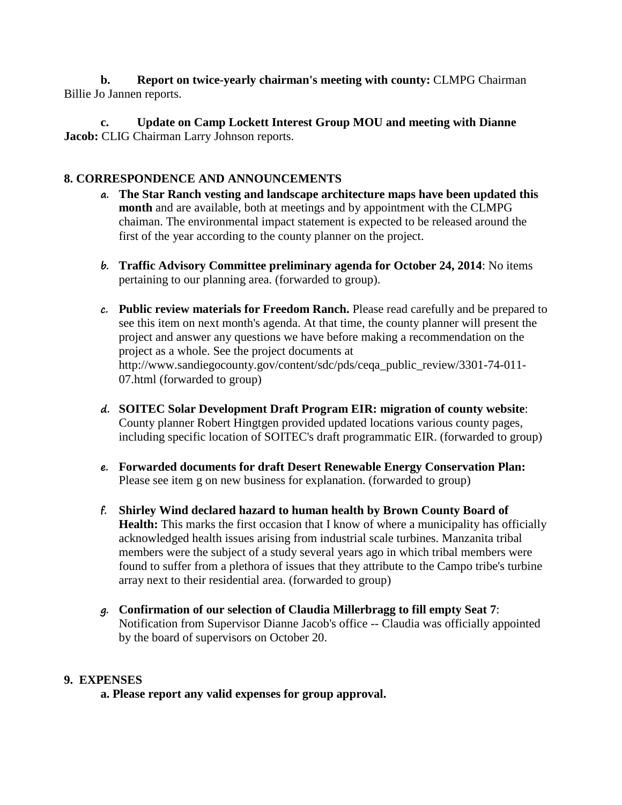**b. Report on twice-yearly chairman's meeting with county:** CLMPG Chairman Billie Jo Jannen reports.

**c. Update on Camp Lockett Interest Group MOU and meeting with Dianne Jacob:** CLIG Chairman Larry Johnson reports.

## **8. CORRESPONDENCE AND ANNOUNCEMENTS**

- **a. The Star Ranch vesting and landscape architecture maps have been updated this month** and are available, both at meetings and by appointment with the CLMPG chaiman. The environmental impact statement is expected to be released around the first of the year according to the county planner on the project.
- **b. Traffic Advisory Committee preliminary agenda for October 24, 2014**: No items pertaining to our planning area. (forwarded to group).
- **c. Public review materials for Freedom Ranch.** Please read carefully and be prepared to see this item on next month's agenda. At that time, the county planner will present the project and answer any questions we have before making a recommendation on the project as a whole. See the project documents at http://www.sandiegocounty.gov/content/sdc/pds/ceqa\_public\_review/3301-74-011-07.html (forwarded to group)
- **d. SOITEC Solar Development Draft Program EIR: migration of county website**: County planner Robert Hingtgen provided updated locations various county pages, including specific location of SOITEC's draft programmatic EIR. (forwarded to group)
- **e. Forwarded documents for draft Desert Renewable Energy Conservation Plan:**  Please see item g on new business for explanation. (forwarded to group)
- **f. Shirley Wind declared hazard to human health by Brown County Board of Health:** This marks the first occasion that I know of where a municipality has officially acknowledged health issues arising from industrial scale turbines. Manzanita tribal members were the subject of a study several years ago in which tribal members were found to suffer from a plethora of issues that they attribute to the Campo tribe's turbine array next to their residential area. (forwarded to group)
- **g. Confirmation of our selection of Claudia Millerbragg to fill empty Seat 7**: Notification from Supervisor Dianne Jacob's office -- Claudia was officially appointed by the board of supervisors on October 20.

### **9. EXPENSES**

**a. Please report any valid expenses for group approval.**